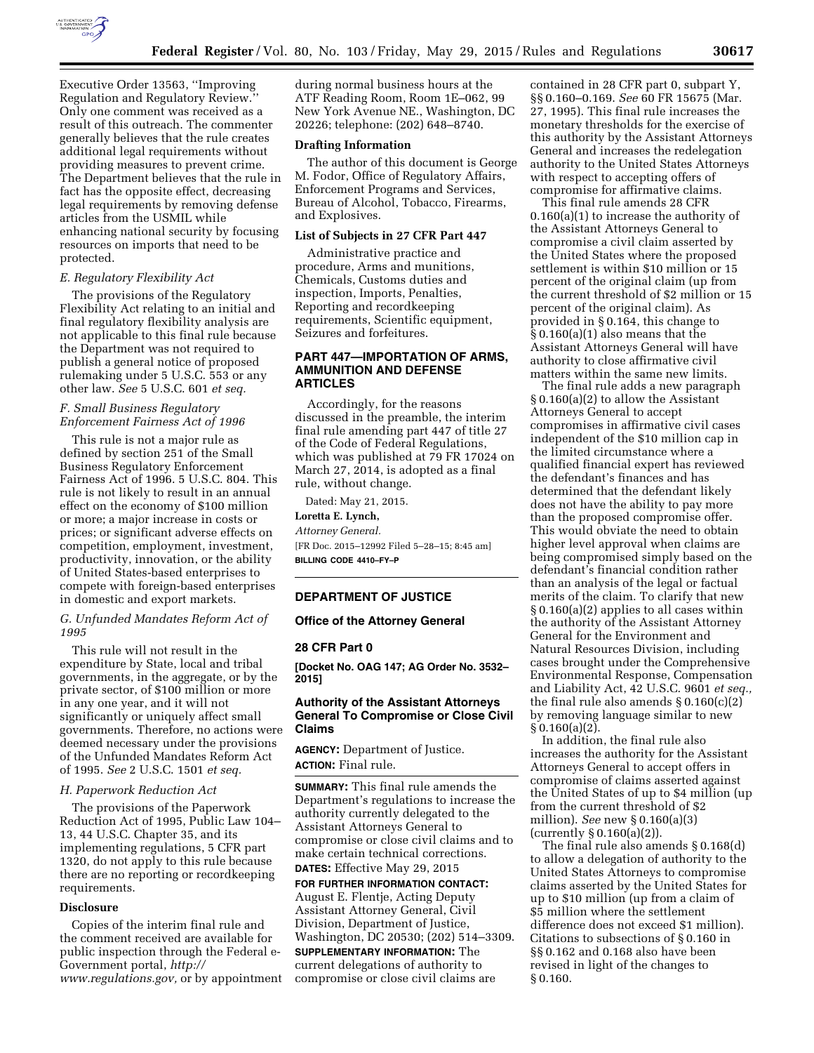

Executive Order 13563, ''Improving Regulation and Regulatory Review.'' Only one comment was received as a result of this outreach. The commenter generally believes that the rule creates additional legal requirements without providing measures to prevent crime. The Department believes that the rule in fact has the opposite effect, decreasing legal requirements by removing defense articles from the USMIL while enhancing national security by focusing resources on imports that need to be protected.

## *E. Regulatory Flexibility Act*

The provisions of the Regulatory Flexibility Act relating to an initial and final regulatory flexibility analysis are not applicable to this final rule because the Department was not required to publish a general notice of proposed rulemaking under 5 U.S.C. 553 or any other law. *See* 5 U.S.C. 601 *et seq.* 

## *F. Small Business Regulatory Enforcement Fairness Act of 1996*

This rule is not a major rule as defined by section 251 of the Small Business Regulatory Enforcement Fairness Act of 1996. 5 U.S.C. 804. This rule is not likely to result in an annual effect on the economy of \$100 million or more; a major increase in costs or prices; or significant adverse effects on competition, employment, investment, productivity, innovation, or the ability of United States-based enterprises to compete with foreign-based enterprises in domestic and export markets.

## *G. Unfunded Mandates Reform Act of 1995*

This rule will not result in the expenditure by State, local and tribal governments, in the aggregate, or by the private sector, of \$100 million or more in any one year, and it will not significantly or uniquely affect small governments. Therefore, no actions were deemed necessary under the provisions of the Unfunded Mandates Reform Act of 1995. *See* 2 U.S.C. 1501 *et seq.* 

### *H. Paperwork Reduction Act*

The provisions of the Paperwork Reduction Act of 1995, Public Law 104– 13, 44 U.S.C. Chapter 35, and its implementing regulations, 5 CFR part 1320, do not apply to this rule because there are no reporting or recordkeeping requirements.

#### **Disclosure**

Copies of the interim final rule and the comment received are available for public inspection through the Federal e-Government portal, *[http://](http://www.regulations.gov) [www.regulations.gov,](http://www.regulations.gov)* or by appointment during normal business hours at the ATF Reading Room, Room 1E–062, 99 New York Avenue NE., Washington, DC 20226; telephone: (202) 648–8740.

### **Drafting Information**

The author of this document is George M. Fodor, Office of Regulatory Affairs, Enforcement Programs and Services, Bureau of Alcohol, Tobacco, Firearms, and Explosives.

#### **List of Subjects in 27 CFR Part 447**

Administrative practice and procedure, Arms and munitions, Chemicals, Customs duties and inspection, Imports, Penalties, Reporting and recordkeeping requirements, Scientific equipment, Seizures and forfeitures.

# **PART 447—IMPORTATION OF ARMS, AMMUNITION AND DEFENSE ARTICLES**

Accordingly, for the reasons discussed in the preamble, the interim final rule amending part 447 of title 27 of the Code of Federal Regulations, which was published at 79 FR 17024 on March 27, 2014, is adopted as a final rule, without change.

Dated: May 21, 2015.

#### **Loretta E. Lynch,**

*Attorney General.* 

[FR Doc. 2015–12992 Filed 5–28–15; 8:45 am] **BILLING CODE 4410–FY–P** 

#### **DEPARTMENT OF JUSTICE**

## **Office of the Attorney General**

#### **28 CFR Part 0**

**[Docket No. OAG 147; AG Order No. 3532– 2015]** 

## **Authority of the Assistant Attorneys General To Compromise or Close Civil Claims**

**AGENCY:** Department of Justice. **ACTION:** Final rule.

**SUMMARY:** This final rule amends the Department's regulations to increase the authority currently delegated to the Assistant Attorneys General to compromise or close civil claims and to make certain technical corrections. **DATES:** Effective May 29, 2015

# **FOR FURTHER INFORMATION CONTACT:**  August E. Flentje, Acting Deputy Assistant Attorney General, Civil Division, Department of Justice, Washington, DC 20530; (202) 514–3309.

**SUPPLEMENTARY INFORMATION:** The current delegations of authority to compromise or close civil claims are contained in 28 CFR part 0, subpart Y, §§ 0.160–0.169. *See* 60 FR 15675 (Mar. 27, 1995). This final rule increases the monetary thresholds for the exercise of this authority by the Assistant Attorneys General and increases the redelegation authority to the United States Attorneys with respect to accepting offers of compromise for affirmative claims.

This final rule amends 28 CFR 0.160(a)(1) to increase the authority of the Assistant Attorneys General to compromise a civil claim asserted by the United States where the proposed settlement is within \$10 million or 15 percent of the original claim (up from the current threshold of \$2 million or 15 percent of the original claim). As provided in § 0.164, this change to § 0.160(a)(1) also means that the Assistant Attorneys General will have authority to close affirmative civil matters within the same new limits.

The final rule adds a new paragraph § 0.160(a)(2) to allow the Assistant Attorneys General to accept compromises in affirmative civil cases independent of the \$10 million cap in the limited circumstance where a qualified financial expert has reviewed the defendant's finances and has determined that the defendant likely does not have the ability to pay more than the proposed compromise offer. This would obviate the need to obtain higher level approval when claims are being compromised simply based on the defendant's financial condition rather than an analysis of the legal or factual merits of the claim. To clarify that new § 0.160(a)(2) applies to all cases within the authority of the Assistant Attorney General for the Environment and Natural Resources Division, including cases brought under the Comprehensive Environmental Response, Compensation and Liability Act, 42 U.S.C. 9601 *et seq.,*  the final rule also amends  $\S 0.160(c)(2)$ by removing language similar to new  $§ 0.160(a)(2).$ 

In addition, the final rule also increases the authority for the Assistant Attorneys General to accept offers in compromise of claims asserted against the United States of up to \$4 million (up from the current threshold of \$2 million). *See* new § 0.160(a)(3) (currently § 0.160(a)(2)).

The final rule also amends § 0.168(d) to allow a delegation of authority to the United States Attorneys to compromise claims asserted by the United States for up to \$10 million (up from a claim of \$5 million where the settlement difference does not exceed \$1 million). Citations to subsections of § 0.160 in §§ 0.162 and 0.168 also have been revised in light of the changes to § 0.160.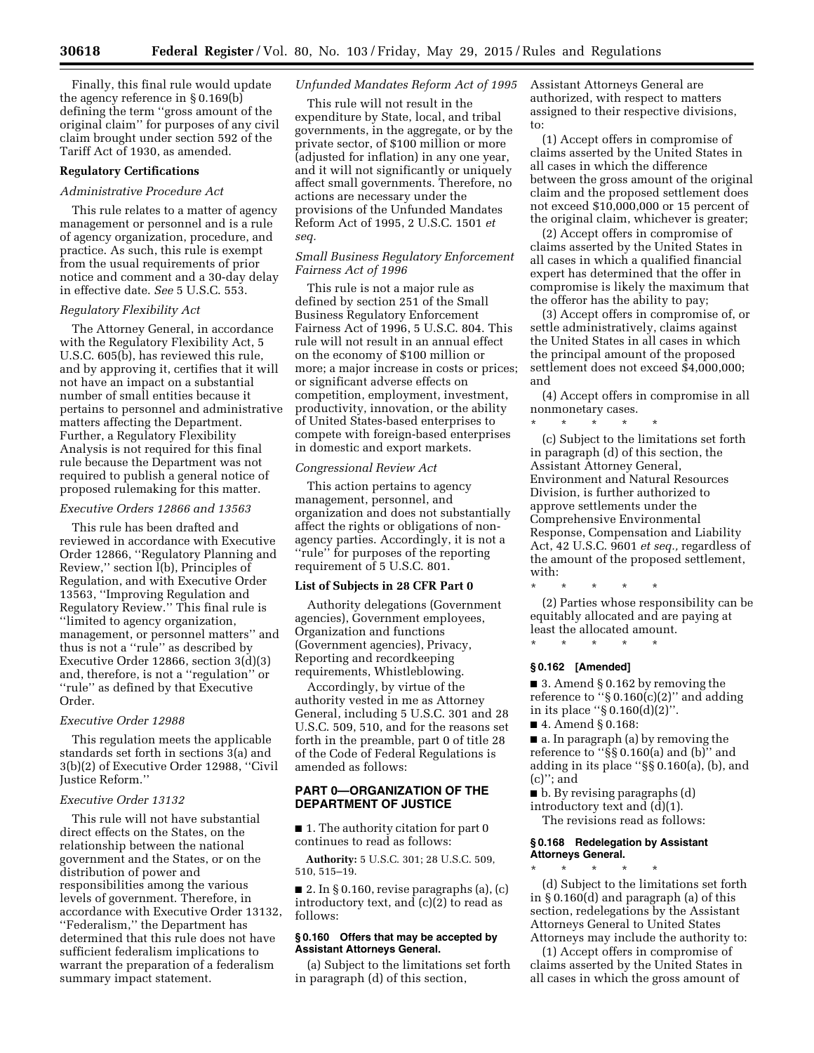Finally, this final rule would update the agency reference in § 0.169(b) defining the term ''gross amount of the original claim'' for purposes of any civil claim brought under section 592 of the Tariff Act of 1930, as amended.

### **Regulatory Certifications**

#### *Administrative Procedure Act*

This rule relates to a matter of agency management or personnel and is a rule of agency organization, procedure, and practice. As such, this rule is exempt from the usual requirements of prior notice and comment and a 30-day delay in effective date. *See* 5 U.S.C. 553.

#### *Regulatory Flexibility Act*

The Attorney General, in accordance with the Regulatory Flexibility Act, 5 U.S.C. 605(b), has reviewed this rule, and by approving it, certifies that it will not have an impact on a substantial number of small entities because it pertains to personnel and administrative matters affecting the Department. Further, a Regulatory Flexibility Analysis is not required for this final rule because the Department was not required to publish a general notice of proposed rulemaking for this matter.

#### *Executive Orders 12866 and 13563*

This rule has been drafted and reviewed in accordance with Executive Order 12866, ''Regulatory Planning and Review,'' section l(b), Principles of Regulation, and with Executive Order 13563, ''Improving Regulation and Regulatory Review.'' This final rule is ''limited to agency organization, management, or personnel matters'' and thus is not a ''rule'' as described by Executive Order 12866, section 3(d)(3) and, therefore, is not a ''regulation'' or ''rule'' as defined by that Executive Order.

## *Executive Order 12988*

This regulation meets the applicable standards set forth in sections 3(a) and 3(b)(2) of Executive Order 12988, ''Civil Justice Reform.''

#### *Executive Order 13132*

This rule will not have substantial direct effects on the States, on the relationship between the national government and the States, or on the distribution of power and responsibilities among the various levels of government. Therefore, in accordance with Executive Order 13132, ''Federalism,'' the Department has determined that this rule does not have sufficient federalism implications to warrant the preparation of a federalism summary impact statement.

## *Unfunded Mandates Reform Act of 1995*

This rule will not result in the expenditure by State, local, and tribal governments, in the aggregate, or by the private sector, of \$100 million or more (adjusted for inflation) in any one year, and it will not significantly or uniquely affect small governments. Therefore, no actions are necessary under the provisions of the Unfunded Mandates Reform Act of 1995, 2 U.S.C. 1501 *et seq.* 

## *Small Business Regulatory Enforcement Fairness Act of 1996*

This rule is not a major rule as defined by section 251 of the Small Business Regulatory Enforcement Fairness Act of 1996, 5 U.S.C. 804. This rule will not result in an annual effect on the economy of \$100 million or more; a major increase in costs or prices; or significant adverse effects on competition, employment, investment, productivity, innovation, or the ability of United States-based enterprises to compete with foreign-based enterprises in domestic and export markets.

### *Congressional Review Act*

This action pertains to agency management, personnel, and organization and does not substantially affect the rights or obligations of nonagency parties. Accordingly, it is not a ''rule'' for purposes of the reporting requirement of 5 U.S.C. 801.

#### **List of Subjects in 28 CFR Part 0**

Authority delegations (Government agencies), Government employees, Organization and functions (Government agencies), Privacy, Reporting and recordkeeping requirements, Whistleblowing.

Accordingly, by virtue of the authority vested in me as Attorney General, including 5 U.S.C. 301 and 28 U.S.C. 509, 510, and for the reasons set forth in the preamble, part 0 of title 28 of the Code of Federal Regulations is amended as follows:

# **PART 0—ORGANIZATION OF THE DEPARTMENT OF JUSTICE**

■ 1. The authority citation for part 0 continues to read as follows:

**Authority:** 5 U.S.C. 301; 28 U.S.C. 509, 510, 515–19.

 $\blacksquare$  2. In § 0.160, revise paragraphs (a), (c) introductory text, and  $(c)(2)$  to read as follows:

### **§ 0.160 Offers that may be accepted by Assistant Attorneys General.**

(a) Subject to the limitations set forth in paragraph (d) of this section,

Assistant Attorneys General are authorized, with respect to matters assigned to their respective divisions, to:

(1) Accept offers in compromise of claims asserted by the United States in all cases in which the difference between the gross amount of the original claim and the proposed settlement does not exceed \$10,000,000 or 15 percent of the original claim, whichever is greater;

(2) Accept offers in compromise of claims asserted by the United States in all cases in which a qualified financial expert has determined that the offer in compromise is likely the maximum that the offeror has the ability to pay;

(3) Accept offers in compromise of, or settle administratively, claims against the United States in all cases in which the principal amount of the proposed settlement does not exceed \$4,000,000; and

(4) Accept offers in compromise in all nonmonetary cases.

\* \* \* \* \*

(c) Subject to the limitations set forth in paragraph (d) of this section, the Assistant Attorney General, Environment and Natural Resources Division, is further authorized to approve settlements under the Comprehensive Environmental Response, Compensation and Liability Act, 42 U.S.C. 9601 *et seq.,* regardless of the amount of the proposed settlement, with:

\* \* \* \* \* (2) Parties whose responsibility can be equitably allocated and are paying at least the allocated amount.

\* \* \* \* \*

## **§ 0.162 [Amended]**

■ 3. Amend § 0.162 by removing the reference to ''§ 0.160(c)(2)'' and adding in its place ''§ 0.160(d)(2)''.

■ 4. Amend § 0.168:

■ a. In paragraph (a) by removing the reference to ''§§ 0.160(a) and (b)'' and adding in its place ''§§ 0.160(a), (b), and (c)''; and

 $\blacksquare$  b. By revising paragraphs (d) introductory text and (d)(1).

The revisions read as follows:

#### **§ 0.168 Redelegation by Assistant Attorneys General.**

\* \* \* \* \* (d) Subject to the limitations set forth in § 0.160(d) and paragraph (a) of this section, redelegations by the Assistant Attorneys General to United States Attorneys may include the authority to:

(1) Accept offers in compromise of claims asserted by the United States in all cases in which the gross amount of